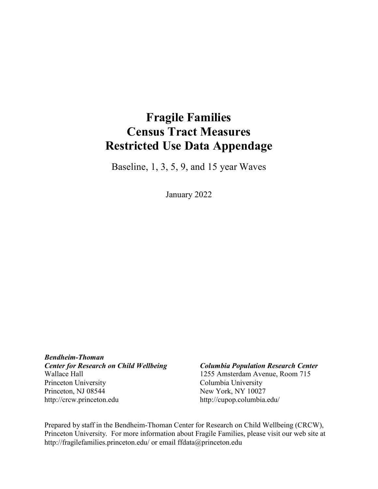# **Fragile Families Census Tract Measures Restricted Use Data Appendage**

Baseline, 1, 3, 5, 9, and 15 year Waves

January 2022

*Bendheim-Thoman Center for Research on Child Wellbeing Columbia Population Research Center* Wallace Hall 1255 Amsterdam Avenue, Room 715 Princeton University Columbia University Princeton, NJ 08544 New York, NY 10027 [http://crcw.princeton.edu](http://crcw.princeton.edu/) <http://cupop.columbia.edu/>

Prepared by staff in the Bendheim-Thoman Center for Research on Child Wellbeing (CRCW), Princeton University. For more information about Fragile Families, please visit our web site [at](http://fragilefamilies.princeton.edu/)  [http://fragilefamilies.princeton.edu/ o](http://fragilefamilies.princeton.edu/)r email [ffdata@princeton.edu](mailto:ffdata@princeton.edu)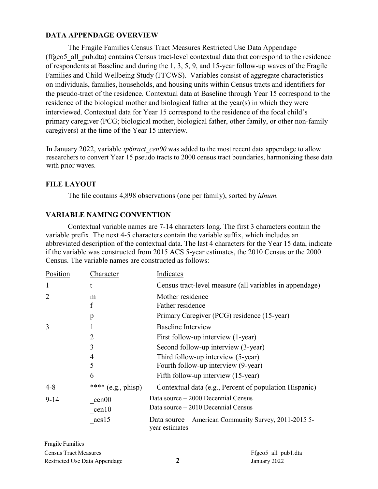# **DATA APPENDAGE OVERVIEW**

The Fragile Families Census Tract Measures Restricted Use Data Appendage (ffgeo5\_all\_pub.dta) contains Census tract-level contextual data that correspond to the residence of respondents at Baseline and during the 1, 3, 5, 9, and 15-year follow-up waves of the Fragile Families and Child Wellbeing Study (FFCWS). Variables consist of aggregate characteristics on individuals, families, households, and housing units within Census tracts and identifiers for the pseudo-tract of the residence. Contextual data at Baseline through Year 15 correspond to the residence of the biological mother and biological father at the year(s) in which they were interviewed. Contextual data for Year 15 correspond to the residence of the focal child's primary caregiver (PCG; biological mother, biological father, other family, or other non-family caregivers) at the time of the Year 15 interview.

<span id="page-1-0"></span>In January 2022, variable *tp6tract\_cen00* was added to the most recent data appendage to allow researchers to convert Year 15 pseudo tracts to 2000 census tract boundaries, harmonizing these data with prior waves.

# **FILE LAYOUT**

The file contains 4,898 observations (one per family), sorted by *idnum.*

# **VARIABLE NAMING CONVENTION**

Contextual variable names are 7-14 characters long. The first 3 characters contain the variable prefix. The next 4-5 characters contain the variable suffix, which includes an abbreviated description of the contextual data. The last 4 characters for the Year 15 data, indicate if the variable was constructed from 2015 ACS 5-year estimates, the 2010 Census or the 2000 Census. The variable names are constructed as follows:

| Position       | Character                   | Indicates                                                                 |
|----------------|-----------------------------|---------------------------------------------------------------------------|
| $\mathbf{1}$   | t                           | Census tract-level measure (all variables in appendage)                   |
| $\overline{2}$ | m<br>$\boldsymbol{f}$       | Mother residence<br>Father residence                                      |
|                | p                           | Primary Caregiver (PCG) residence (15-year)                               |
| 3              |                             | <b>Baseline Interview</b>                                                 |
|                | $\overline{2}$              | First follow-up interview (1-year)                                        |
|                | 3                           | Second follow-up interview (3-year)                                       |
|                | 4<br>5                      | Third follow-up interview (5-year)<br>Fourth follow-up interview (9-year) |
|                | 6                           | Fifth follow-up interview (15-year)                                       |
| $4 - 8$        | **** $(e.g., \text{phisp})$ | Contextual data (e.g., Percent of population Hispanic)                    |
| $9 - 14$       | cen00                       | Data source – 2000 Decennial Census                                       |
|                | cen10                       | Data source – 2010 Decennial Census                                       |
|                | acs15                       | Data source – American Community Survey, 2011-2015 5-<br>year estimates   |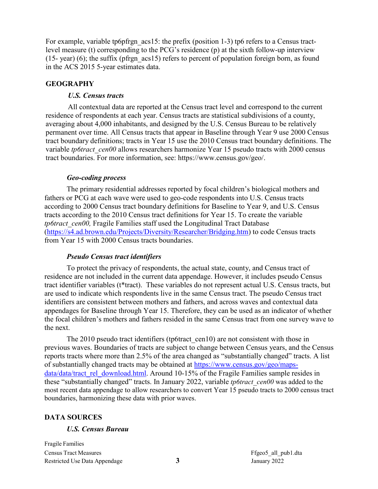For example, variable tp6pfrgn acs15: the prefix (position 1-3) tp6 refers to a Census tractlevel measure (t) corresponding to the PCG's residence (p) at the sixth follow-up interview (15- year) (6); the suffix (pfrgn  $acs15$ ) refers to percent of population foreign born, as found in the ACS 2015 5-year estimates data.

# **GEOGRAPHY**

### *U.S. Census tracts*

All contextual data are reported at the Census tract level and correspond to the current residence of respondents at each year. Census tracts are statistical subdivisions of a county, averaging about 4,000 inhabitants, and designed by the U.S. Census Bureau to be relatively permanent over time. All Census tracts that appear in Baseline through Year 9 use 2000 Census tract boundary definitions; tracts in Year 15 use the 2010 Census tract boundary definitions. The variable *tp6tract\_cen00* allows researchers harmonize Year 15 pseudo tracts with 2000 census tract boundaries. For more information, se[e: https://www.census.gov/geo/.](http://www.census.gov/geo/)

### *Geo-coding process*

The primary residential addresses reported by focal children's biological mothers and fathers or PCG at each wave were used to geo-code respondents into U.S. Census tracts according to 2000 Census tract boundary definitions for Baseline to Year 9, and U.S. Census tracts according to the 2010 Census tract definitions for Year 15. To create the variable *tp6tract\_cen00,* Fragile Families staff used the Longitudinal Tract Database [\(https://s4.ad.brown.edu/Projects/Diversity/Researcher/Bridging.htm\)](https://s4.ad.brown.edu/Projects/Diversity/Researcher/Bridging.htm) to code Census tracts from Year 15 with 2000 Census tracts boundaries.

#### *Pseudo Census tract identifiers*

To protect the privacy of respondents, the actual state, county, and Census tract of residence are not included in the current data appendage. However, it includes pseudo Census tract identifier variables (t\*tract). These variables do not represent actual U.S. Census tracts, but are used to indicate which respondents live in the same Census tract. The pseudo Census tract identifiers are consistent between mothers and fathers, and across waves and contextual data appendages for Baseline through Year 15. Therefore, they can be used as an indicator of whether the focal children's mothers and fathers resided in the same Census tract from one survey wave to the next.

The 2010 pseudo tract identifiers (tp6tract\_cen10) are not consistent with those in previous waves. Boundaries of tracts are subject to change between Census years, and the Census reports tracts where more than 2.5% of the area changed as "substantially changed" tracts. A list of substantially changed tracts may be obtained at [https://www.census.gov/geo/maps](https://www.census.gov/geo/maps-data/data/tract_rel_download.html)[data/data/tract\\_rel\\_download.html.](https://www.census.gov/geo/maps-data/data/tract_rel_download.html) Around 10-15% of the Fragile Families sample resides in these "substantially changed" tracts. In January 2022, variable *tp6tract\_cen00* was added to the most recent data appendage to allow researchers to convert Year 15 pseudo tracts to 2000 census tract boundaries, harmonizing these data with prior waves.

#### **DATA SOURCES**

#### *U.S. Census Bureau*

Fragile Families Census Tract Measures Restricted Use Data Appendage

Ffgeo5\_all\_pub1.dta **3** January 2022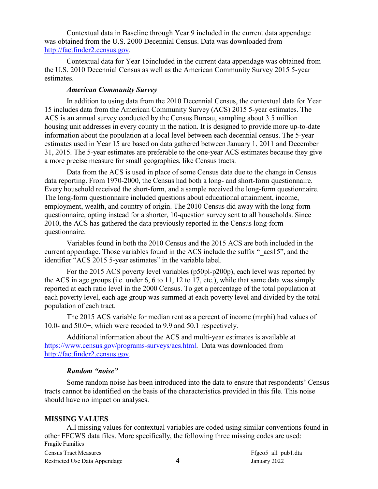Contextual data in Baseline through Year 9 included in the current data appendage was obtained from the U.S. 2000 Decennial Census. Data was downloaded from [http://factfinder2.census.gov.](http://factfinder2.census.gov/)

Contextual data for Year 15included in the current data appendage was obtained from the U.S. 2010 Decennial Census as well as the American Community Survey 2015 5-year estimates.

# *American Community Survey*

In addition to using data from the 2010 Decennial Census, the contextual data for Year 15 includes data from the American Community Survey (ACS) 2015 5-year estimates. The ACS is an annual survey conducted by the Census Bureau, sampling about 3.5 million housing unit addresses in every county in the nation. It is designed to provide more up-to-date information about the population at a local level between each decennial census. The 5-year estimates used in Year 15 are based on data gathered between January 1, 2011 and December 31, 2015. The 5-year estimates are preferable to the one-year ACS estimates because they give a more precise measure for small geographies, like Census tracts.

Data from the ACS is used in place of some Census data due to the change in Census data reporting. From 1970-2000, the Census had both a long- and short-form questionnaire. Every household received the short-form, and a sample received the long-form questionnaire. The long-form questionnaire included questions about educational attainment, income, employment, wealth, and country of origin. The 2010 Census did away with the long-form questionnaire, opting instead for a shorter, 10-question survey sent to all households. Since 2010, the ACS has gathered the data previously reported in the Census long-form questionnaire.

Variables found in both the 2010 Census and the 2015 ACS are both included in the current appendage. Those variables found in the ACS include the suffix "  $acs15$ ", and the identifier "ACS 2015 5-year estimates" in the variable label.

For the 2015 ACS poverty level variables (p50pl-p200p), each level was reported by the ACS in age groups (i.e. under 6, 6 to 11, 12 to 17, etc.), while that same data was simply reported at each ratio level in the 2000 Census. To get a percentage of the total population at each poverty level, each age group was summed at each poverty level and divided by the total population of each tract.

The 2015 ACS variable for median rent as a percent of income (mrphi) had values of 10.0- and 50.0+, which were recoded to 9.9 and 50.1 respectively.

Additional information about the ACS and multi-year estimates is available at [https://www.census.gov/programs-surveys/acs.html.](https://www.census.gov/programs-surveys/acs.html) Data was downloaded fro[m](http://factfinder2.census.gov/) [http://factfinder2.census.gov.](http://factfinder2.census.gov/)

#### *Random "noise"*

Some random noise has been introduced into the data to ensure that respondents' Census tracts cannot be identified on the basis of the characteristics provided in this file. This noise should have no impact on analyses.

# **MISSING VALUES**

Fragile Families Census Tract Measures Restricted Use Data Appendage Ffgeo5\_all\_pub1.dta **4** January 2022 All missing values for contextual variables are coded using similar conventions found in other FFCWS data files. More specifically, the following three missing codes are used: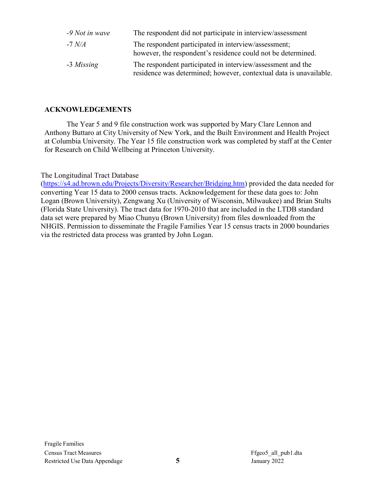| $-9$ Not in wave | The respondent did not participate in interview/assessment                                                                        |
|------------------|-----------------------------------------------------------------------------------------------------------------------------------|
| -7 $N/A$         | The respondent participated in interview/assessment;<br>however, the respondent's residence could not be determined.              |
| -3 Missing       | The respondent participated in interview/assessment and the<br>residence was determined; however, contextual data is unavailable. |

# **ACKNOWLEDGEMENTS**

The Year 5 and 9 file construction work was supported by Mary Clare Lennon and Anthony Buttaro at City University of New York, and the Built Environment and Health Project at Columbia University. The Year 15 file construction work was completed by staff at the Center for Research on Child Wellbeing at Princeton University.

The Longitudinal Tract Database

[\(https://s4.ad.brown.edu/Projects/Diversity/Researcher/Bridging.htm\)](https://s4.ad.brown.edu/Projects/Diversity/Researcher/Bridging.htm) provided the data needed for converting Year 15 data to 2000 census tracts. Acknowledgement for these data goes to: John Logan (Brown University), Zengwang Xu (University of Wisconsin, Milwaukee) and Brian Stults (Florida State University). The tract data for 1970-2010 that are included in the LTDB standard data set were prepared by Miao Chunyu (Brown University) from files downloaded from the NHGIS. Permission to disseminate the Fragile Families Year 15 census tracts in 2000 boundaries via the restricted data process was granted by John Logan.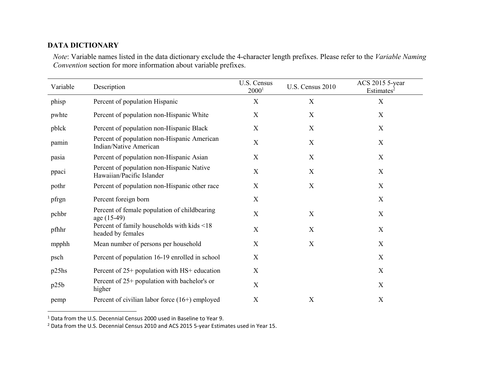# **DATA DICTIONARY**

*Note*: Variable names listed in the data dictionary exclude the 4-character length prefixes. Please refer to the *[Variable](#page-1-0) Naming [Convention](#page-1-0)* section for more information about variable prefixes.

| Variable | Description                                                            | U.S. Census<br>2000 <sup>1</sup> | U.S. Census 2010 | ACS 2015 5-year<br>Estimates <sup>2</sup> |
|----------|------------------------------------------------------------------------|----------------------------------|------------------|-------------------------------------------|
| phisp    | Percent of population Hispanic                                         | X                                | X                | X                                         |
| pwhte    | Percent of population non-Hispanic White                               | X                                | X                | X                                         |
| pblck    | Percent of population non-Hispanic Black                               | X                                | $\mathbf X$      | $\mathbf X$                               |
| pamin    | Percent of population non-Hispanic American<br>Indian/Native American  | $\boldsymbol{\mathrm{X}}$        | $\mathbf X$      | $\mathbf X$                               |
| pasia    | Percent of population non-Hispanic Asian                               | X                                | X                | X                                         |
| ppaci    | Percent of population non-Hispanic Native<br>Hawaiian/Pacific Islander | X                                | X                | X                                         |
| pothr    | Percent of population non-Hispanic other race                          | X                                | $\mathbf X$      | X                                         |
| pfrgn    | Percent foreign born                                                   | X                                |                  | X                                         |
| pchbr    | Percent of female population of childbearing<br>age (15-49)            | X                                | $\mathbf X$      | X                                         |
| pfhhr    | Percent of family households with kids <18<br>headed by females        | X                                | X                | X                                         |
| mpphh    | Mean number of persons per household                                   | X                                | $\mathbf X$      | X                                         |
| psch     | Percent of population 16-19 enrolled in school                         | X                                |                  | X                                         |
| p25hs    | Percent of 25+ population with HS+ education                           | X                                |                  | X                                         |
| p25b     | Percent of 25+ population with bachelor's or<br>higher                 | X                                |                  | X                                         |
| pemp     | Percent of civilian labor force $(16+)$ employed                       | X                                | X                | X                                         |

1 Data from the U.S. Decennial Census 2000 used in Baseline to Year 9.

<sup>2</sup> Data from the U.S. Decennial Census 2010 and ACS 2015 5-year Estimates used in Year 15.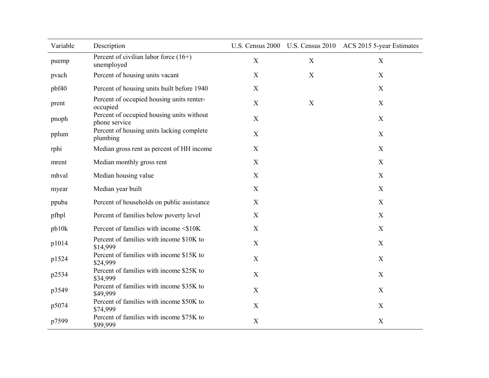| Variable | Description                                                |             |   | U.S. Census 2000 U.S. Census 2010 ACS 2015 5-year Estimates |
|----------|------------------------------------------------------------|-------------|---|-------------------------------------------------------------|
| puemp    | Percent of civilian labor force $(16+)$<br>unemployed      | X           | X | X                                                           |
| pvach    | Percent of housing units vacant                            | $\mathbf X$ | X | X                                                           |
| pbf40    | Percent of housing units built before 1940                 | $\mathbf X$ |   | X                                                           |
| prent    | Percent of occupied housing units renter-<br>occupied      | $\mathbf X$ | X | X                                                           |
| pnoph    | Percent of occupied housing units without<br>phone service | $\mathbf X$ |   | X                                                           |
| pplum    | Percent of housing units lacking complete<br>plumbing      | X           |   | X                                                           |
| rphi     | Median gross rent as percent of HH income                  | X           |   | X                                                           |
| mrent    | Median monthly gross rent                                  | $\mathbf X$ |   | X                                                           |
| mhval    | Median housing value                                       | X           |   | X                                                           |
| myear    | Median year built                                          | X           |   | X                                                           |
| ppuba    | Percent of households on public assistance                 | X           |   | X                                                           |
| pfbpl    | Percent of families below poverty level                    | X           |   | X                                                           |
| pb10k    | Percent of families with income <\$10K                     | X           |   | X                                                           |
| p1014    | Percent of families with income \$10K to<br>\$14,999       | $\mathbf X$ |   | X                                                           |
| p1524    | Percent of families with income \$15K to<br>\$24,999       | $\mathbf X$ |   | X                                                           |
| p2534    | Percent of families with income \$25K to<br>\$34,999       | $\mathbf X$ |   | X                                                           |
| p3549    | Percent of families with income \$35K to<br>\$49,999       | $\mathbf X$ |   | X                                                           |
| p5074    | Percent of families with income \$50K to<br>\$74,999       | X           |   | X                                                           |
| p7599    | Percent of families with income \$75K to<br>\$99,999       | $\mathbf X$ |   | $\mathbf X$                                                 |